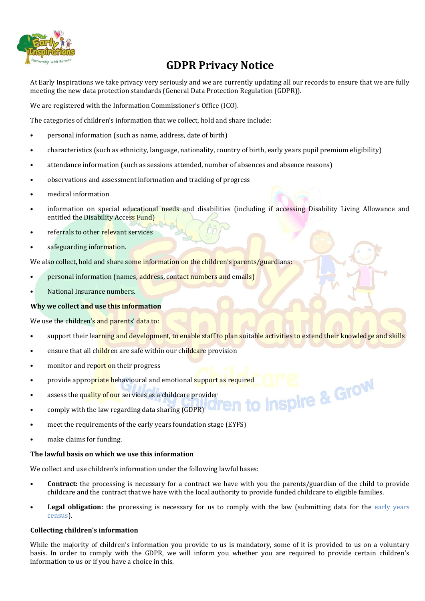

# **GDPR Privacy Notice**

At Early Inspirations we take privacy very seriously and we are currently updating all our records to ensure that we are fully meeting the new data protection standards (General Data Protection Regulation (GDPR)).

We are registered with the Information Commissioner's Office (ICO).

The categories of children's information that we collect, hold and share include:

- personal information (such as name, address, date of birth)
- characteristics (such as ethnicity, language, nationality, country of birth, early years pupil premium eligibility)
- attendance information (such as sessions attended, number of absences and absence reasons)
- observations and assessment information and tracking of progress
- medical information
- information on special educational needs and disabilities (including if accessing Disability Living Allowance and entitled the Disability Access Fund)
- referrals to other relevant services
- safeguarding information.

We also collect, hold and share some information on the children's parents/guardians:

- personal information (names, address, contact numbers and emails)
- National Insurance numbers.

# **Why we collect and use this information**

We use the children's and parents' data to:

- support their learning and development, to enable staff to plan suitable activities to extend their knowledge and skills
- ensure that all children are safe within our childcare provision
- monitor and report on their progress
- provide appropriate behavioural and emotional support as required<br>assess the quality of our services as a childcare provider<br>comply with the law regarding data sharing (CDDE)
- assess the quality of our services as a childcare provider
- comply with the law regarding data sharing (GDPR)
- meet the requirements of the early years foundation stage (EYFS)
- make claims for funding.

### **The lawful basis on which we use this information**

We collect and use children's information under the following lawful bases:

- **Contract:** the processing is necessary for a contract we have with you the parents/guardian of the child to provide childcare and the contract that we have with the local authority to provide funded childcare to eligible families.
- **Legal obligation:** the processing is necessary for us to comply with the law (submitting data for the early years [census\)](https://www.gov.uk/government/publications/early-years-census-2018-guide).

# **Collecting children's information**

While the majority of children's information you provide to us is mandatory, some of it is provided to us on a voluntary basis. In order to comply with the GDPR, we will inform you whether you are required to provide certain children's information to us or if you have a choice in this.